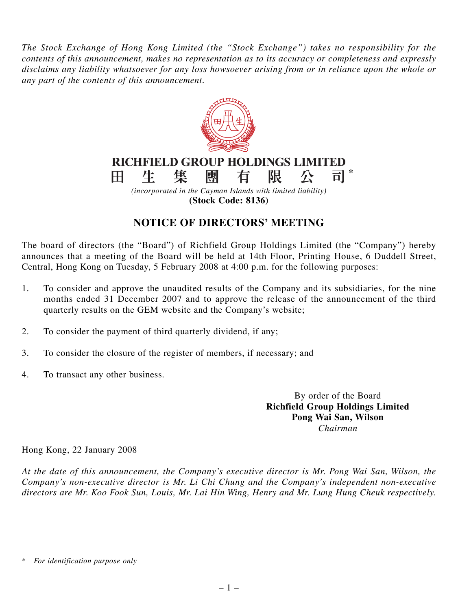*The Stock Exchange of Hong Kong Limited (the "Stock Exchange") takes no responsibility for the contents of this announcement, makes no representation as to its accuracy or completeness and expressly disclaims any liability whatsoever for any loss howsoever arising from or in reliance upon the whole or any part of the contents of this announcement.*



**(Stock Code: 8136)**

## **NOTICE OF DIRECTORS' MEETING**

The board of directors (the "Board") of Richfield Group Holdings Limited (the "Company") hereby announces that a meeting of the Board will be held at 14th Floor, Printing House, 6 Duddell Street, Central, Hong Kong on Tuesday, 5 February 2008 at 4:00 p.m. for the following purposes:

- 1. To consider and approve the unaudited results of the Company and its subsidiaries, for the nine months ended 31 December 2007 and to approve the release of the announcement of the third quarterly results on the GEM website and the Company's website;
- 2. To consider the payment of third quarterly dividend, if any;
- 3. To consider the closure of the register of members, if necessary; and
- 4. To transact any other business.

By order of the Board **Richfield Group Holdings Limited Pong Wai San, Wilson** *Chairman*

Hong Kong, 22 January 2008

*At the date of this announcement, the Company's executive director is Mr. Pong Wai San, Wilson, the Company's non-executive director is Mr. Li Chi Chung and the Company's independent non-executive directors are Mr. Koo Fook Sun, Louis, Mr. Lai Hin Wing, Henry and Mr. Lung Hung Cheuk respectively.*

*<sup>\*</sup> For identification purpose only*